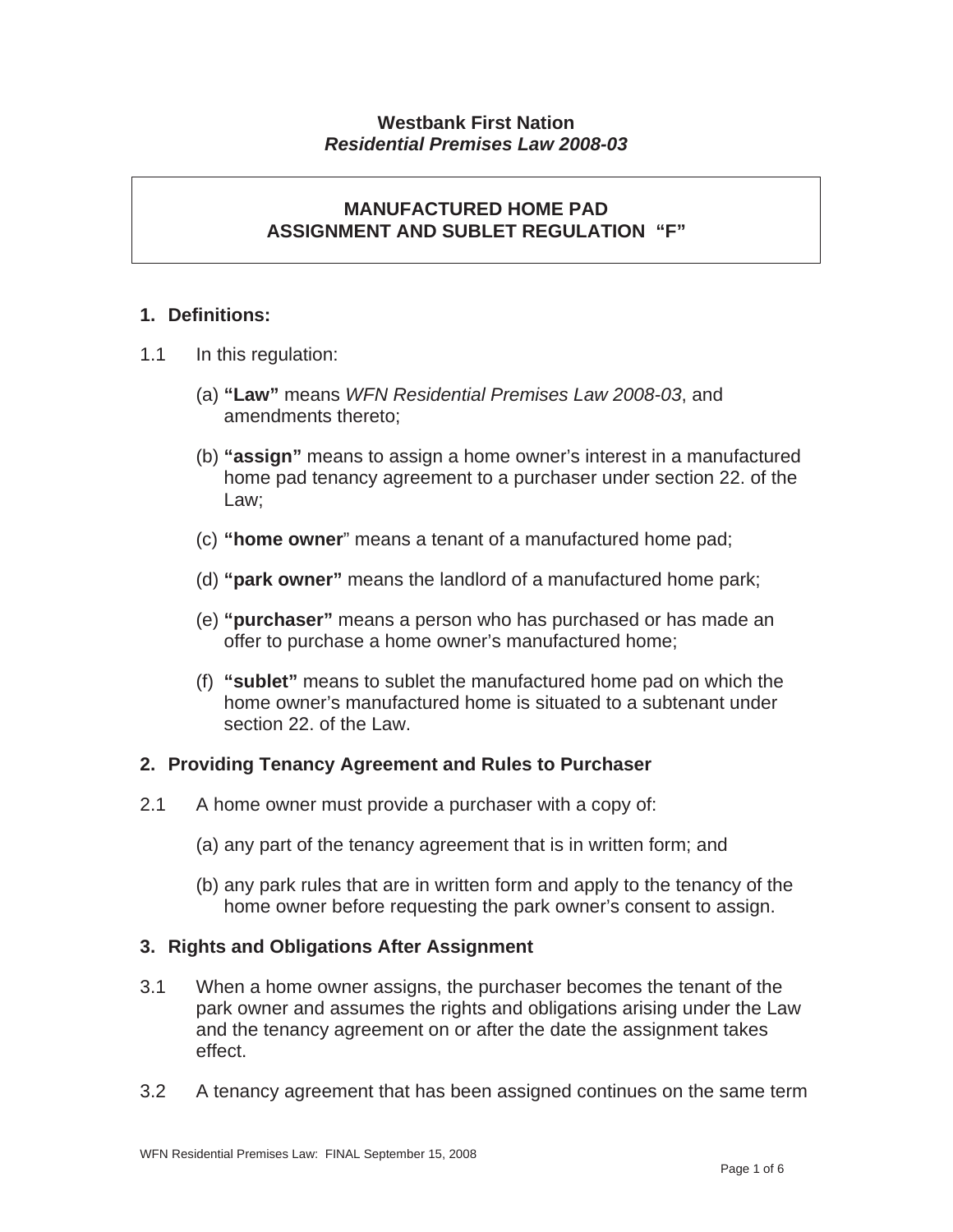### **Westbank First Nation**  *Residential Premises Law 2008-03*

## **MANUFACTURED HOME PAD ASSIGNMENT AND SUBLET REGULATION "F"**

## **1. Definitions:**

- 1.1 In this regulation:
	- (a) **"Law"** means *WFN Residential Premises Law 2008-03*, and amendments thereto;
	- (b) **"assign"** means to assign a home owner's interest in a manufactured home pad tenancy agreement to a purchaser under section 22. of the Law;
	- (c) **"home owner**" means a tenant of a manufactured home pad;
	- (d) **"park owner"** means the landlord of a manufactured home park;
	- (e) **"purchaser"** means a person who has purchased or has made an offer to purchase a home owner's manufactured home;
	- (f) **"sublet"** means to sublet the manufactured home pad on which the home owner's manufactured home is situated to a subtenant under section 22, of the Law.

### **2. Providing Tenancy Agreement and Rules to Purchaser**

- 2.1 A home owner must provide a purchaser with a copy of:
	- (a) any part of the tenancy agreement that is in written form; and
	- (b) any park rules that are in written form and apply to the tenancy of the home owner before requesting the park owner's consent to assign.

### **3. Rights and Obligations After Assignment**

- 3.1 When a home owner assigns, the purchaser becomes the tenant of the park owner and assumes the rights and obligations arising under the Law and the tenancy agreement on or after the date the assignment takes effect.
- 3.2 A tenancy agreement that has been assigned continues on the same term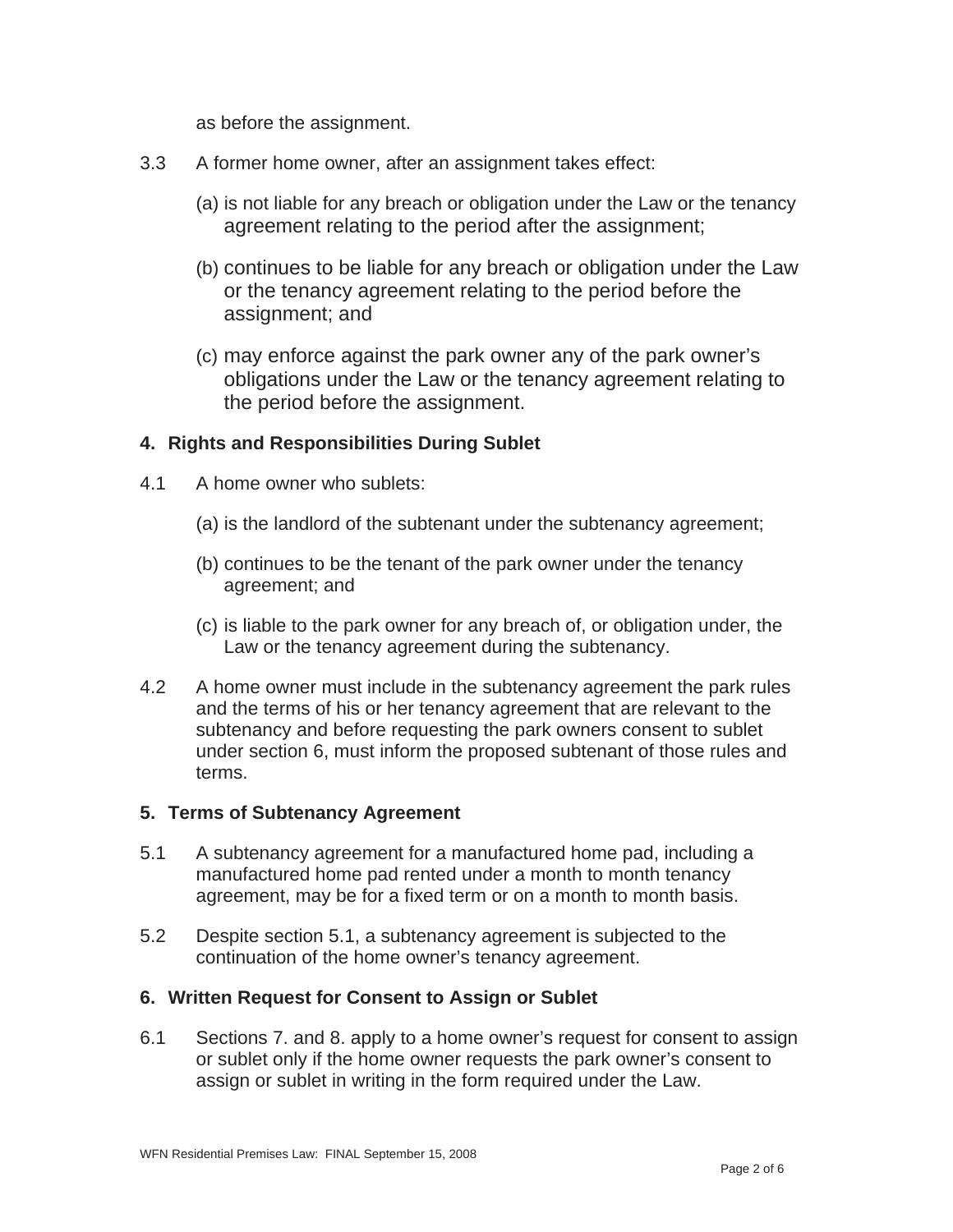as before the assignment.

- 3.3 A former home owner, after an assignment takes effect:
	- (a) is not liable for any breach or obligation under the Law or the tenancy agreement relating to the period after the assignment;
	- (b) continues to be liable for any breach or obligation under the Law or the tenancy agreement relating to the period before the assignment; and
	- (c) may enforce against the park owner any of the park owner's obligations under the Law or the tenancy agreement relating to the period before the assignment.

### **4. Rights and Responsibilities During Sublet**

- 4.1 A home owner who sublets:
	- (a) is the landlord of the subtenant under the subtenancy agreement;
	- (b) continues to be the tenant of the park owner under the tenancy agreement; and
	- (c) is liable to the park owner for any breach of, or obligation under, the Law or the tenancy agreement during the subtenancy.
- 4.2 A home owner must include in the subtenancy agreement the park rules and the terms of his or her tenancy agreement that are relevant to the subtenancy and before requesting the park owners consent to sublet under section 6, must inform the proposed subtenant of those rules and terms.

#### **5. Terms of Subtenancy Agreement**

- 5.1 A subtenancy agreement for a manufactured home pad, including a manufactured home pad rented under a month to month tenancy agreement, may be for a fixed term or on a month to month basis.
- 5.2 Despite section 5.1, a subtenancy agreement is subjected to the continuation of the home owner's tenancy agreement.

### **6. Written Request for Consent to Assign or Sublet**

6.1 Sections 7. and 8. apply to a home owner's request for consent to assign or sublet only if the home owner requests the park owner's consent to assign or sublet in writing in the form required under the Law.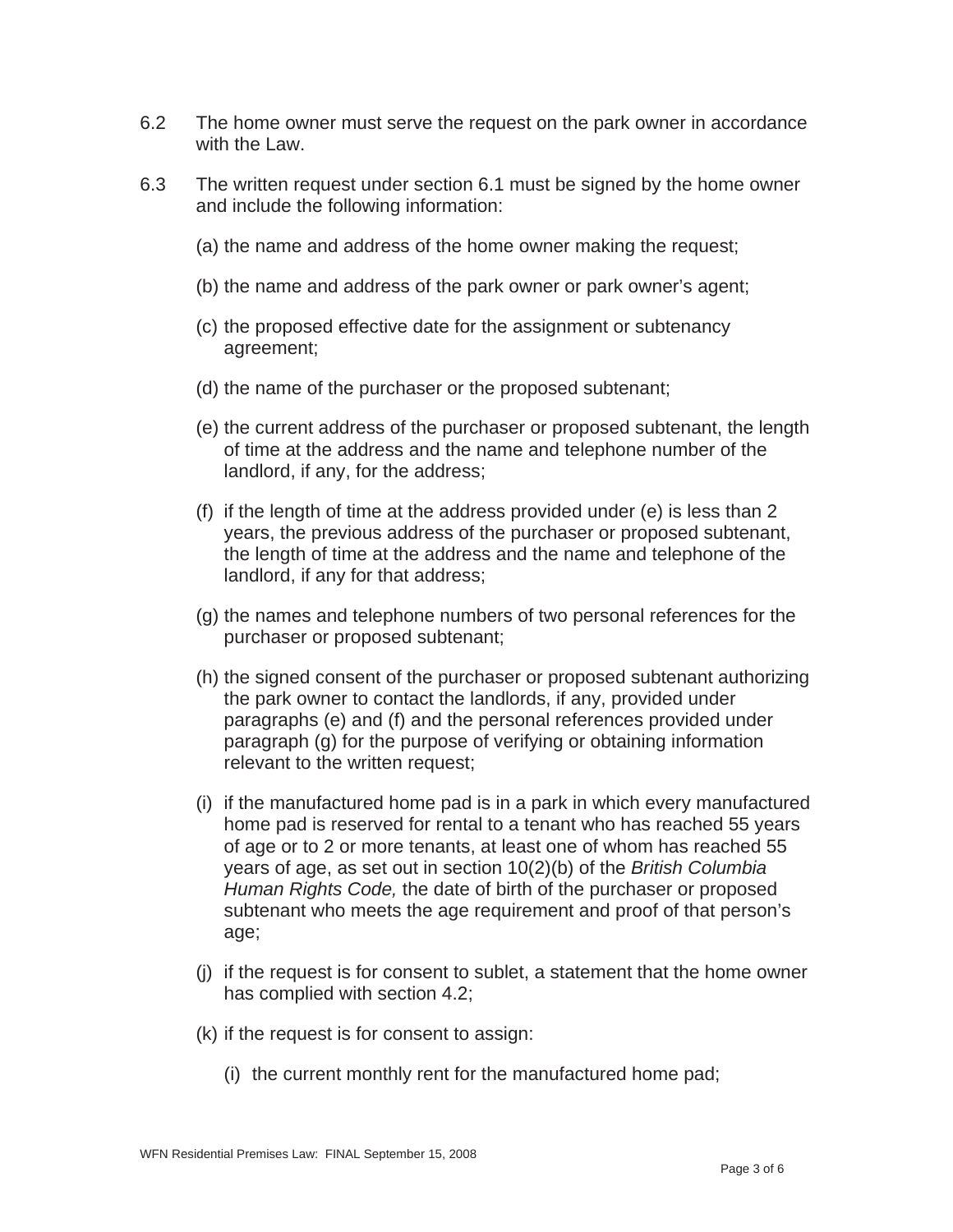- 6.2 The home owner must serve the request on the park owner in accordance with the Law.
- 6.3 The written request under section 6.1 must be signed by the home owner and include the following information:
	- (a) the name and address of the home owner making the request;
	- (b) the name and address of the park owner or park owner's agent;
	- (c) the proposed effective date for the assignment or subtenancy agreement;
	- (d) the name of the purchaser or the proposed subtenant;
	- (e) the current address of the purchaser or proposed subtenant, the length of time at the address and the name and telephone number of the landlord, if any, for the address;
	- (f) if the length of time at the address provided under (e) is less than 2 years, the previous address of the purchaser or proposed subtenant, the length of time at the address and the name and telephone of the landlord, if any for that address;
	- (g) the names and telephone numbers of two personal references for the purchaser or proposed subtenant;
	- (h) the signed consent of the purchaser or proposed subtenant authorizing the park owner to contact the landlords, if any, provided under paragraphs (e) and (f) and the personal references provided under paragraph (g) for the purpose of verifying or obtaining information relevant to the written request;
	- (i) if the manufactured home pad is in a park in which every manufactured home pad is reserved for rental to a tenant who has reached 55 years of age or to 2 or more tenants, at least one of whom has reached 55 years of age, as set out in section 10(2)(b) of the *British Columbia Human Rights Code,* the date of birth of the purchaser or proposed subtenant who meets the age requirement and proof of that person's age;
	- (j) if the request is for consent to sublet, a statement that the home owner has complied with section 4.2;
	- (k) if the request is for consent to assign:
		- (i) the current monthly rent for the manufactured home pad;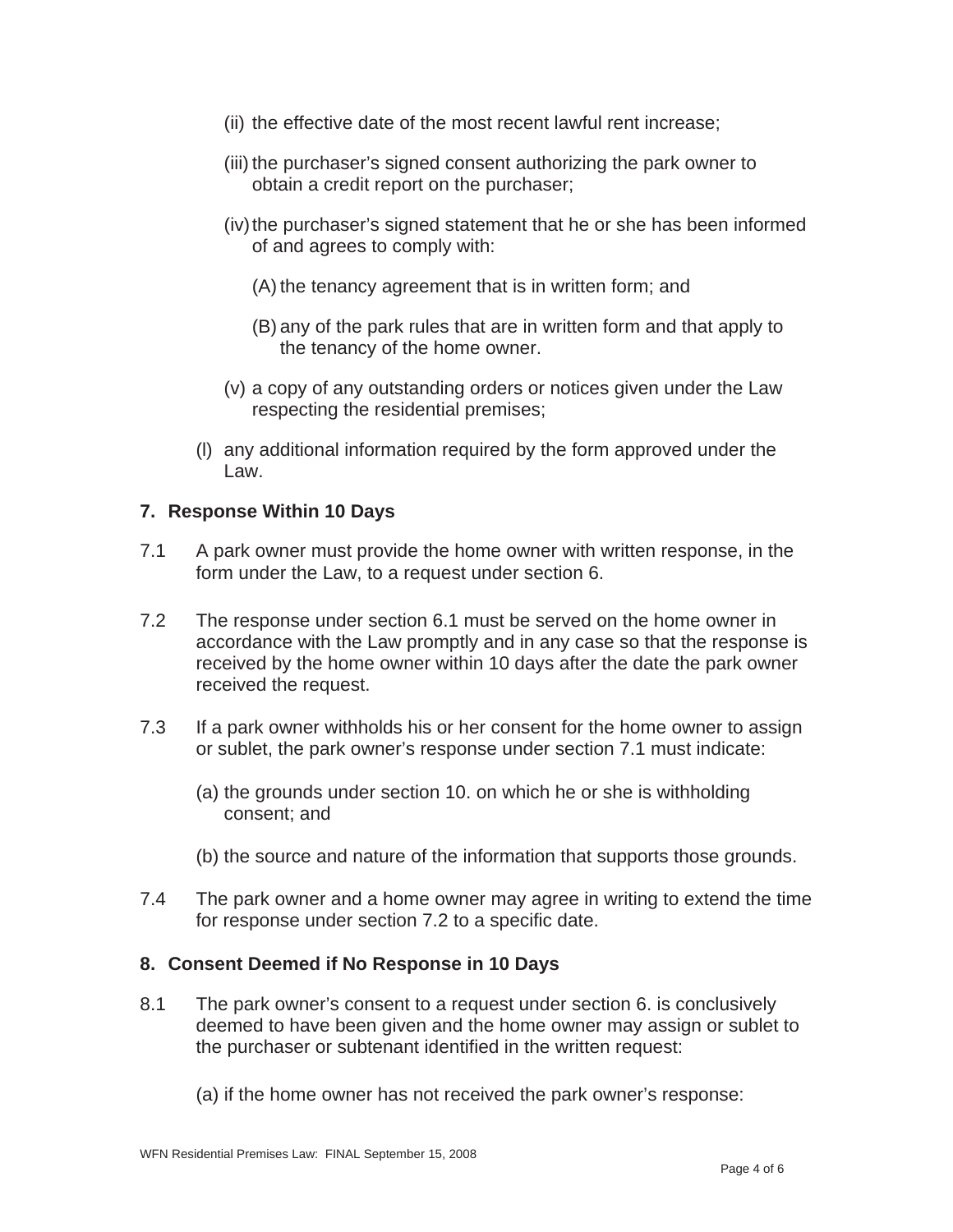- (ii) the effective date of the most recent lawful rent increase;
- (iii) the purchaser's signed consent authorizing the park owner to obtain a credit report on the purchaser;
- (iv) the purchaser's signed statement that he or she has been informed of and agrees to comply with:
	- (A) the tenancy agreement that is in written form; and
	- (B) any of the park rules that are in written form and that apply to the tenancy of the home owner.
- (v) a copy of any outstanding orders or notices given under the Law respecting the residential premises;
- (l) any additional information required by the form approved under the Law.

### **7. Response Within 10 Days**

- 7.1 A park owner must provide the home owner with written response, in the form under the Law, to a request under section 6.
- 7.2 The response under section 6.1 must be served on the home owner in accordance with the Law promptly and in any case so that the response is received by the home owner within 10 days after the date the park owner received the request.
- 7.3 If a park owner withholds his or her consent for the home owner to assign or sublet, the park owner's response under section 7.1 must indicate:
	- (a) the grounds under section 10. on which he or she is withholding consent; and
	- (b) the source and nature of the information that supports those grounds.
- 7.4 The park owner and a home owner may agree in writing to extend the time for response under section 7.2 to a specific date.

### **8. Consent Deemed if No Response in 10 Days**

- 8.1 The park owner's consent to a request under section 6. is conclusively deemed to have been given and the home owner may assign or sublet to the purchaser or subtenant identified in the written request:
	- (a) if the home owner has not received the park owner's response: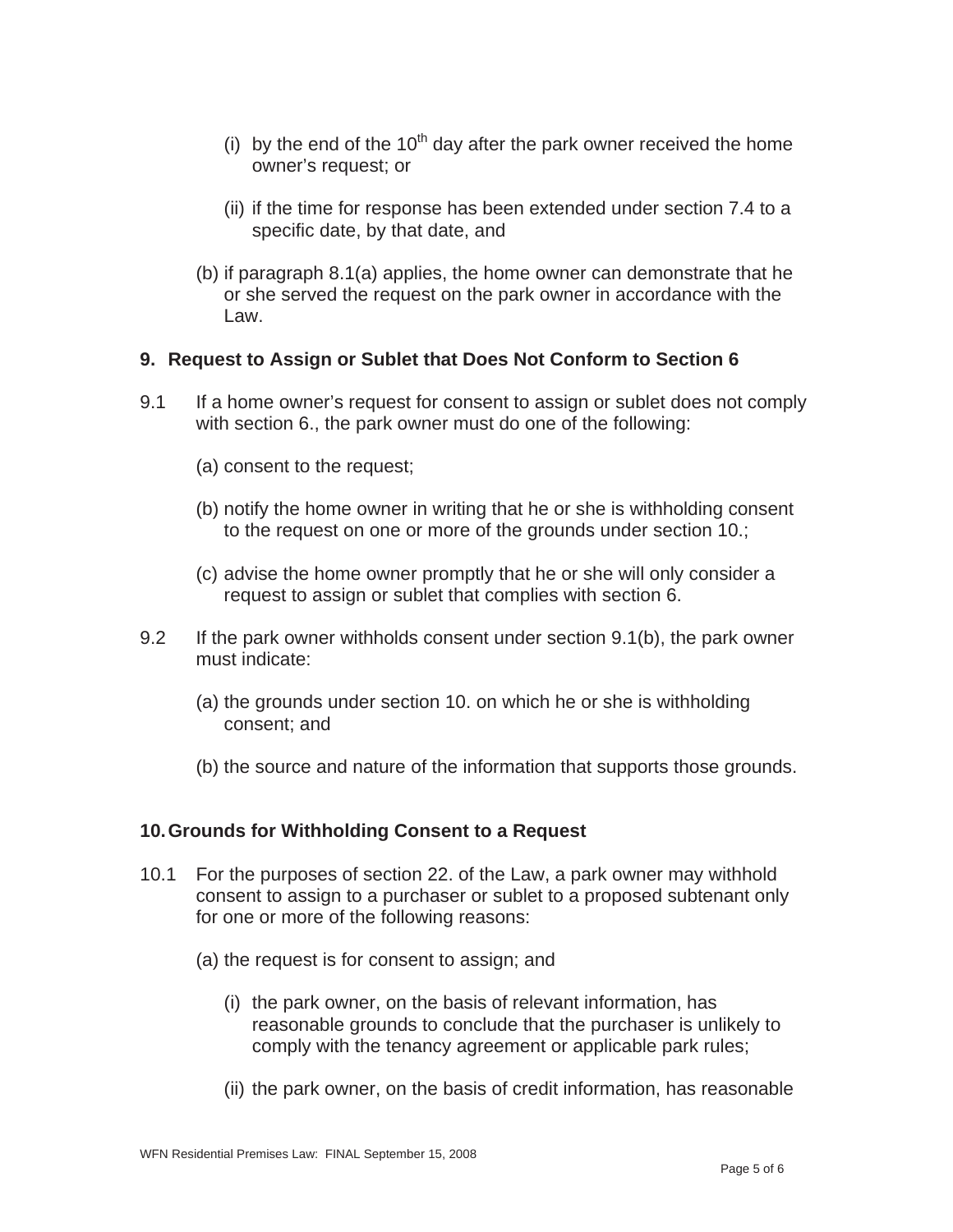- (i) by the end of the 10<sup>th</sup> day after the park owner received the home owner's request; or
- (ii) if the time for response has been extended under section 7.4 to a specific date, by that date, and
- (b) if paragraph 8.1(a) applies, the home owner can demonstrate that he or she served the request on the park owner in accordance with the Law.

### **9. Request to Assign or Sublet that Does Not Conform to Section 6**

- 9.1 If a home owner's request for consent to assign or sublet does not comply with section 6., the park owner must do one of the following:
	- (a) consent to the request;
	- (b) notify the home owner in writing that he or she is withholding consent to the request on one or more of the grounds under section 10.;
	- (c) advise the home owner promptly that he or she will only consider a request to assign or sublet that complies with section 6.
- 9.2 If the park owner withholds consent under section 9.1(b), the park owner must indicate:
	- (a) the grounds under section 10. on which he or she is withholding consent; and
	- (b) the source and nature of the information that supports those grounds.

# **10. Grounds for Withholding Consent to a Request**

- 10.1 For the purposes of section 22. of the Law, a park owner may withhold consent to assign to a purchaser or sublet to a proposed subtenant only for one or more of the following reasons:
	- (a) the request is for consent to assign; and
		- (i) the park owner, on the basis of relevant information, has reasonable grounds to conclude that the purchaser is unlikely to comply with the tenancy agreement or applicable park rules;
		- (ii) the park owner, on the basis of credit information, has reasonable